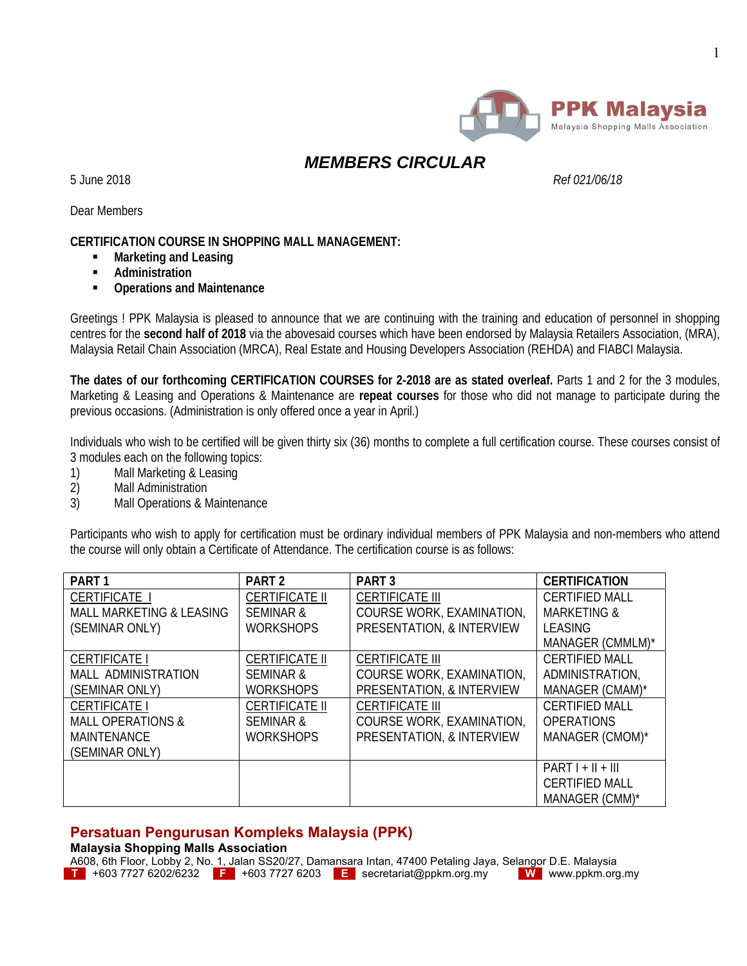

# *MEMBERS CIRCULAR*

5 June 2018 *Ref 021/06/18*

Dear Members

### **CERTIFICATION COURSE IN SHOPPING MALL MANAGEMENT:**

- **Marketing and Leasing**
- **Administration**
- **Operations and Maintenance**

Greetings ! PPK Malaysia is pleased to announce that we are continuing with the training and education of personnel in shopping centres for the **second half of 2018** via the abovesaid courses which have been endorsed by Malaysia Retailers Association, (MRA), Malaysia Retail Chain Association (MRCA), Real Estate and Housing Developers Association (REHDA) and FIABCI Malaysia.

**The dates of our forthcoming CERTIFICATION COURSES for 2-2018 are as stated overleaf.** Parts 1 and 2 for the 3 modules, Marketing & Leasing and Operations & Maintenance are **repeat courses** for those who did not manage to participate during the previous occasions. (Administration is only offered once a year in April.)

Individuals who wish to be certified will be given thirty six (36) months to complete a full certification course. These courses consist of 3 modules each on the following topics:

- 1) Mall Marketing & Leasing
- 2) Mall Administration
- 3) Mall Operations & Maintenance

Participants who wish to apply for certification must be ordinary individual members of PPK Malaysia and non-members who attend the course will only obtain a Certificate of Attendance. The certification course is as follows:

| PART <sub>1</sub>                   | PART <sub>2</sub>     | PART <sub>3</sub>         | <b>CERTIFICATION</b>   |
|-------------------------------------|-----------------------|---------------------------|------------------------|
| CERTIFICATE I                       | <b>CERTIFICATE II</b> | <b>CERTIFICATE III</b>    | <b>CERTIFIED MALL</b>  |
| <b>MALL MARKETING &amp; LEASING</b> | <b>SEMINAR &amp;</b>  | COURSE WORK, EXAMINATION, | <b>MARKETING &amp;</b> |
| (SEMINAR ONLY)                      | <b>WORKSHOPS</b>      | PRESENTATION, & INTERVIEW | LEASING                |
|                                     |                       |                           | MANAGER (CMMLM)*       |
| <b>CERTIFICATE I</b>                | <b>CERTIFICATE II</b> | <b>CERTIFICATE III</b>    | <b>CERTIFIED MALL</b>  |
| MALL ADMINISTRATION                 | <b>SEMINAR &amp;</b>  | COURSE WORK, EXAMINATION, | ADMINISTRATION,        |
| (SEMINAR ONLY)                      | <b>WORKSHOPS</b>      | PRESENTATION, & INTERVIEW | MANAGER (CMAM)*        |
| <b>CERTIFICATE I</b>                | <b>CERTIFICATE II</b> | <b>CERTIFICATE III</b>    | <b>CERTIFIED MALL</b>  |
| <b>MALL OPERATIONS &amp;</b>        | <b>SEMINAR &amp;</b>  | COURSE WORK, EXAMINATION, | <b>OPERATIONS</b>      |
| <b>MAINTENANCE</b>                  | <b>WORKSHOPS</b>      | PRESENTATION, & INTERVIEW | MANAGER (CMOM)*        |
| (SEMINAR ONLY)                      |                       |                           |                        |
|                                     |                       |                           | $PARTI + II + III$     |
|                                     |                       |                           | <b>CERTIFIED MALL</b>  |
|                                     |                       |                           | MANAGER (CMM)*         |

## **Persatuan Pengurusan Kompleks Malaysia (PPK)**

**Malaysia Shopping Malls Association** 

A608, 6th Floor, Lobby 2, No. 1, Jalan SS20/27, Damansara Intan, 47400 Petaling Jaya, Selangor D.E. Malaysia **T** +603 7727 6202/6232 **F** +603 7727 6203 **E** secretariat@ppkm.org.my **W** www.ppkm.org.my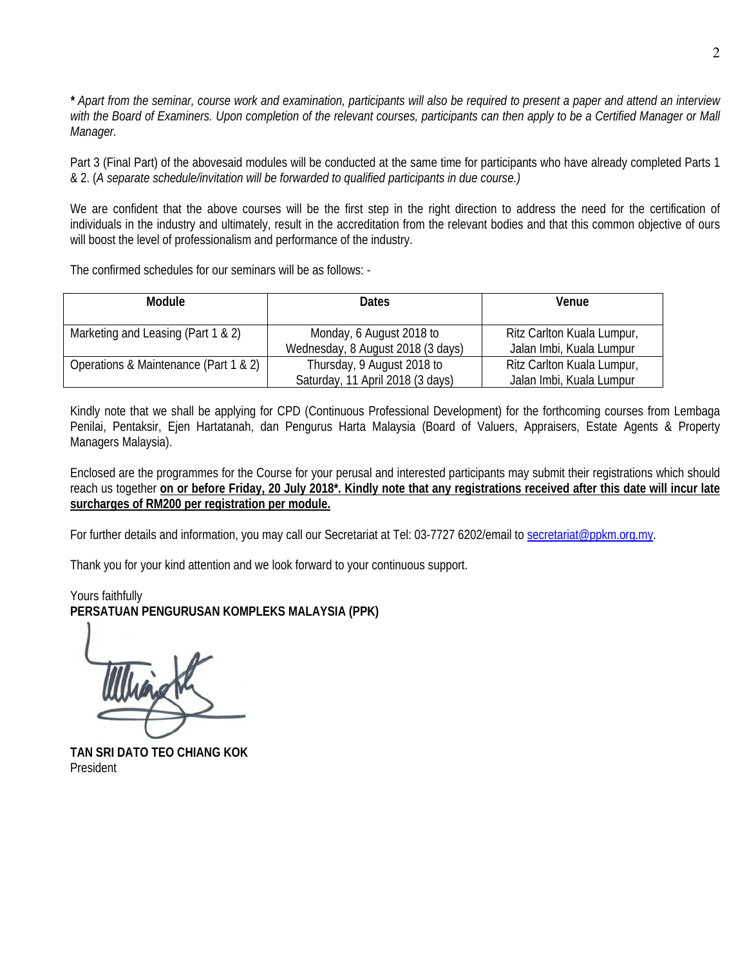*\* Apart from the seminar, course work and examination, participants will also be required to present a paper and attend an interview with the Board of Examiners. Upon completion of the relevant courses, participants can then apply to be a Certified Manager or Mall Manager.* 

Part 3 (Final Part) of the abovesaid modules will be conducted at the same time for participants who have already completed Parts 1 & 2. (*A separate schedule/invitation will be forwarded to qualified participants in due course.)* 

We are confident that the above courses will be the first step in the right direction to address the need for the certification of individuals in the industry and ultimately, result in the accreditation from the relevant bodies and that this common objective of ours will boost the level of professionalism and performance of the industry.

The confirmed schedules for our seminars will be as follows: -

| Module                                | <b>Dates</b>                                                   | Venue                                                  |
|---------------------------------------|----------------------------------------------------------------|--------------------------------------------------------|
| Marketing and Leasing (Part 1 & 2)    | Monday, 6 August 2018 to<br>Wednesday, 8 August 2018 (3 days)  | Ritz Carlton Kuala Lumpur,<br>Jalan Imbi, Kuala Lumpur |
| Operations & Maintenance (Part 1 & 2) | Thursday, 9 August 2018 to<br>Saturday, 11 April 2018 (3 days) | Ritz Carlton Kuala Lumpur,<br>Jalan Imbi, Kuala Lumpur |

Kindly note that we shall be applying for CPD (Continuous Professional Development) for the forthcoming courses from Lembaga Penilai, Pentaksir, Ejen Hartatanah, dan Pengurus Harta Malaysia (Board of Valuers, Appraisers, Estate Agents & Property Managers Malaysia).

Enclosed are the programmes for the Course for your perusal and interested participants may submit their registrations which should reach us together **on or before Friday, 20 July 2018\*. Kindly note that any registrations received after this date will incur late surcharges of RM200 per registration per module.** 

For further details and information, you may call our Secretariat at Tel: 03-7727 6202/email to secretariat@ppkm.org.my.

Thank you for your kind attention and we look forward to your continuous support.

Yours faithfully **PERSATUAN PENGURUSAN KOMPLEKS MALAYSIA (PPK)** 

**TAN SRI DATO TEO CHIANG KOK**  President